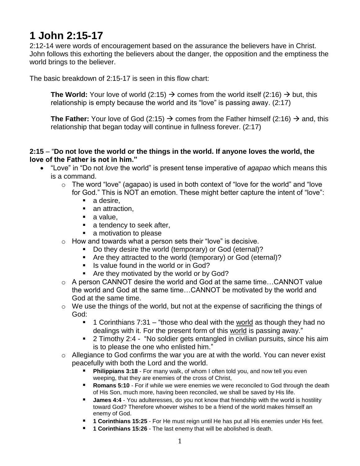## **1 John 2:15-17**

2:12-14 were words of encouragement based on the assurance the believers have in Christ. John follows this exhorting the believers about the danger, the opposition and the emptiness the world brings to the believer.

The basic breakdown of 2:15-17 is seen in this flow chart:

**The World:** Your love of world (2:15)  $\rightarrow$  comes from the world itself (2:16)  $\rightarrow$  but, this relationship is empty because the world and its "love" is passing away. (2:17)

**The Father:** Your love of God (2:15)  $\rightarrow$  comes from the Father himself (2:16)  $\rightarrow$  and, this relationship that began today will continue in fullness forever. (2:17)

## **2:15** – "**Do not love the world or the things in the world. If anyone loves the world, the love of the Father is not in him."**

- "Love" in "Do not *love* the world" is present tense imperative of *agapao* which means this is a command.
	- $\circ$  The word "love" (agapao) is used in both context of "love for the world" and "love for God." This is NOT an emotion. These might better capture the intent of "love":
		- a desire.
		- an attraction,
		- a value,
		- **a** tendency to seek after,
		- **a** motivation to please
	- o How and towards what a person sets their "love" is decisive.
		- Do they desire the world (temporary) or God (eternal)?
		- Are they attracted to the world (temporary) or God (eternal)?
		- Is value found in the world or in God?
		- **Are they motivated by the world or by God?**
	- o A person CANNOT desire the world and God at the same time…CANNOT value the world and God at the same time…CANNOT be motivated by the world and God at the same time.
	- o We use the things of the world, but not at the expense of sacrificing the things of God:
		- 1 Corinthians 7:31 "those who deal with the world as though they had no dealings with it. For the present form of this world is passing away."
		- **2** Timothy 2:4 "No soldier gets entangled in civilian pursuits, since his aim is to please the one who enlisted him."
	- $\circ$  Allegiance to God confirms the war you are at with the world. You can never exist peacefully with both the Lord and the world.
		- **[Philippians 3:18](https://bible.knowing-jesus.com/Philippians/3/18)** For many walk, of whom I often told you, and now tell you even weeping, that they are enemies of the cross of Christ,
		- **[Romans 5:10](https://bible.knowing-jesus.com/Romans/5/10)** For if while we were enemies we were reconciled to God through the death of His Son, much more, having been reconciled, we shall be saved by His life.
		- **[James 4:4](https://bible.knowing-jesus.com/James/4/4)** You adulteresses, do you not know that friendship with the world is hostility toward God? Therefore whoever wishes to be a friend of the world makes himself an enemy of God.
		- **[1 Corinthians 15:25](https://bible.knowing-jesus.com/1-Corinthians/15/25)** For He must reign until He has put all His enemies under His feet.
		- **[1 Corinthians 15:26](https://bible.knowing-jesus.com/1-Corinthians/15/26)** The last enemy that will be abolished is death.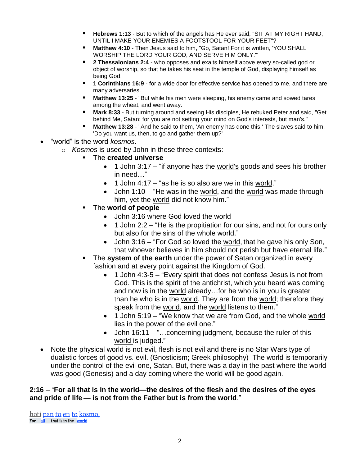- **[Hebrews 1:13](https://bible.knowing-jesus.com/Hebrews/1/13)** But to which of the angels has He ever said, "SIT AT MY RIGHT HAND, UNTIL I MAKE YOUR ENEMIES A FOOTSTOOL FOR YOUR FEET"?
- **[Matthew 4:10](https://bible.knowing-jesus.com/Matthew/4/10)** Then Jesus said to him, "Go, Satan! For it is written, 'YOU SHALL WORSHIP THE LORD YOUR GOD, AND SERVE HIM ONLY.'"
- **[2 Thessalonians 2:4](https://bible.knowing-jesus.com/2-Thessalonians/2/4)** who opposes and exalts himself above every so-called god or object of worship, so that he takes his seat in the temple of God, displaying himself as being God.
- **[1 Corinthians 16:9](https://bible.knowing-jesus.com/1-Corinthians/16/9)** for a wide door for effective service has opened to me, and there are many adversaries.
- **[Matthew 13:25](https://bible.knowing-jesus.com/Matthew/13/25)** "But while his men were sleeping, his enemy came and sowed tares among the wheat, and went away.
- **[Mark 8:33](https://bible.knowing-jesus.com/Mark/8/33)** But turning around and seeing His disciples, He rebuked Peter and said, "Get behind Me, Satan; for you are not setting your mind on God's interests, but man's."
- **[Matthew 13:28](https://bible.knowing-jesus.com/Matthew/13/28)** "And he said to them, 'An enemy has done this!' The slaves said to him, 'Do you want us, then, to go and gather them up?'
- "world" is the word *kosmos*.
	- o *Kosmos* is used by John in these three contexts:
		- The **created universe**
			- 1 John 3:17 "if anyone has the world's goods and sees his brother in need…"
			- $\bullet$  1 John 4:17 "as he is so also are we in this world."
			- John 1:10 "He was in the world, and the world was made through him, yet the world did not know him."
		- The **world of people**
			- John 3:16 where God loved the world
			- 1 John 2:2 "He is the propitiation for our sins, and not for ours only but also for the sins of the whole world."
			- John 3:16 "For God so loved the world, that he gave his only Son, that whoever believes in him should not perish but have eternal life."
		- **The system of the earth** under the power of Satan organized in every fashion and at every point against the Kingdom of God.
			- 1 John 4:3-5 "Every spirit that does not confess Jesus is not from God. This is the spirit of the antichrist, which you heard was coming and now is in the world already...for he who is in you is greater than he who is in the world. They are from the world; therefore they speak from the world, and the world listens to them."
			- 1 John 5:19 "We know that we are from God, and the whole world lies in the power of the evil one."
			- John 16:11 "...concerning judgment, because the ruler of this world is judged."
- Note the physical world is not evil, flesh is not evil and there is no Star Wars type of dualistic forces of good vs. evil. (Gnosticism; Greek philosophy) The world is temporarily under the control of the evil one, Satan. But, there was a day in the past where the world was good (Genesis) and a day coming where the world will be good again.

## **2:16** – "**For all that is in the world—the desires of the flesh and the desires of the eyes and pride of life — is not from the Father but is from the world**."

[hoti](http://studylight.org/lex/grk/view.cgi?number=3754) [pan](http://studylight.org/lex/grk/view.cgi?number=3956) [to](http://studylight.org/lex/grk/view.cgi?number=3588) [en](http://studylight.org/lex/grk/view.cgi?number=1722) [to](http://studylight.org/lex/grk/view.cgi?number=3588) [kosmo,](http://studylight.org/lex/grk/view.cgi?number=2889) For  $\frac{d\hat{l}}{dt}$  that is in the [world](http://studylight.org/lex/grk/view.cgi?number=2889)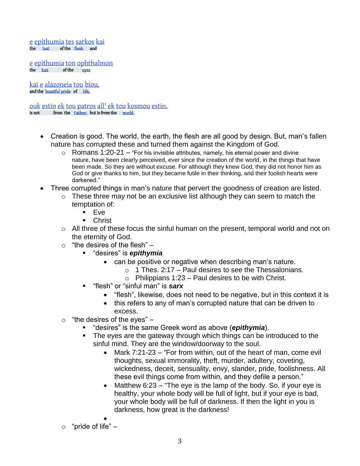[e](http://studylight.org/lex/grk/view.cgi?number=3588) [epithumia](http://studylight.org/lex/grk/view.cgi?number=1939) [tes](http://studylight.org/lex/grk/view.cgi?number=3588) [sarkos](http://studylight.org/lex/grk/view.cgi?number=4561) [kai](http://studylight.org/lex/grk/view.cgi?number=2532)<br>the lust of the flesh and of the [flesh](http://studylight.org/lex/grk/view.cgi?number=4561) and

[e](http://studylight.org/lex/grk/view.cgi?number=3588) [epithumia](http://studylight.org/lex/grk/view.cgi?number=1939) [ton](http://studylight.org/lex/grk/view.cgi?number=3588) [ophthalmon](http://studylight.org/lex/grk/view.cgi?number=3788)<br>the lust of the eves  $of the$   $e$ **ves** 

[kai](http://studylight.org/lex/grk/view.cgi?number=2532) [e](http://studylight.org/lex/grk/view.cgi?number=3588) [alazoneia](http://studylight.org/lex/grk/view.cgi?number=212) [tou](http://studylight.org/lex/grk/view.cgi?number=3588) [biou,](http://studylight.org/lex/grk/view.cgi?number=979) and the **boastful** pride of [life,](http://studylight.org/lex/grk/view.cgi?number=979)

[ouk](http://studylight.org/lex/grk/view.cgi?number=3756) [estin](http://studylight.org/lex/grk/view.cgi?number=2076) [ek](http://studylight.org/lex/grk/view.cgi?number=1537) [tou](http://studylight.org/lex/grk/view.cgi?number=3588) [patros](http://studylight.org/lex/grk/view.cgi?number=3962) [all'](http://studylight.org/lex/grk/view.cgi?number=235) ek tou [kosmou](http://studylight.org/lex/grk/view.cgi?number=2889) [estin.](http://studylight.org/lex/grk/view.cgi?number=2076)<br>
is not from the Father, but is from the world. from the [Father,](http://studylight.org/lex/grk/view.cgi?number=3962) but is from the [world.](http://studylight.org/lex/grk/view.cgi?number=2889)

- Creation is good. The world, the earth, the flesh are all good by design. But, man's fallen nature has corrupted these and turned them against the Kingdom of God.
	- $\circ$  Romans 1:20-21 "For his invisible attributes, namely, his eternal power and divine nature, have been clearly perceived, ever since the creation of the world, in the things that have been made. So they are without excuse. For although they knew God, they did not honor him as God or give thanks to him, but they became futile in their thinking, and their foolish hearts were darkened."
- Three corrupted things in man's nature that pervert the goodness of creation are listed.
	- $\circ$  These three may not be an exclusive list although they can seem to match the temptation of:
		- Eve
			- **Christ**
	- o All three of these focus the sinful human on the present, temporal world and not on the eternity of God.
	- $\circ$  "the desires of the flesh"  $-$ 
		- "desires" is *epithymia*
			- can be positive or negative when describing man's nature.
				- $\circ$  1 Thes. 2:17 Paul desires to see the Thessalonians.
				- $\circ$  Philippians 1:23 Paul desires to be with Christ.
		- "flesh" or "sinful man" is *sarx*
			- "flesh", likewise, does not need to be negative, but in this context it is
			- this refers to any of man's corrupted nature that can be driven to excess.
	- $\circ$  "the desires of the eyes"  $-$ 
		- "desires" is the same Greek word as above (*epithymia*).
		- **The eyes are the gateway through which things can be introduced to the** sinful mind. They are the window/doorway to the soul.
			- Mark 7:21-23 "For from within, out of the heart of man, come evil thoughts, sexual immorality, theft, murder, adultery, coveting, wickedness, deceit, sensuality, envy, slander, pride, foolishness. All these evil things come from within, and they defile a person."
			- Matthew 6:23 "The eye is the lamp of the body. So, if your eye is healthy, your whole body will be full of light, but if your eye is bad, your whole body will be full of darkness. If then the light in you is darkness, how great is the darkness!
	- $\bullet$  $\circ$  "pride of life" –